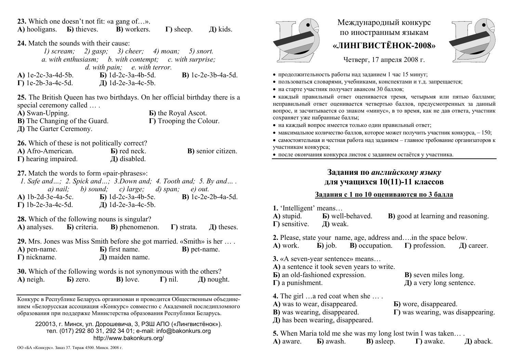**23.** Which one doesn't not fit: «a gang of…». **А)** hooligans. **Б)** thieves. **В)** workers. **Г)** sheep. **Д)** kids. **24.** Match the sounds with their cause: *1) scream; 2) gasp; 3) cheer; 4) moan; 5) snort. a. with enthusiasm; b. with contempt; c. with surprise; d. with pain; e. with terror.*  **А)** 1e-2c-3a-4d-5b. **Б)** 1d-2c-3a-4b-5d. **В)** 1c-2e-3b-4a-5d. **Г)** 1e-2b-3a-4c-5d. **Д)** 1d-2e-3a-4c-5b. **25.** The British Queen has two birthdays. On her official birthday there is a special ceremony called .... **А)** Swan-Upping. **Б)** the Royal Ascot. **В)** The Changing of the Guard. **Г)** Trooping the Colour. **Д)** The Garter Ceremony. **26.** Which of these is not politically correct? **А)** Afro-American. **Б)** red neck. **В)** senior citizen. **Г)** hearing impaired. **Д)** disabled. **27.** Match the words to form «pair-phrases»: *1. Safe and…; 2. Spick and…; 3.Down and; 4. Tooth and; 5. By and… . a) nail; b) sound; c) large; d) span; e) out.*  **А)** 1b-2d-3e-4a-5c. **Б)** 1d-2c-3a-4b-5e. **В)** 1c-2e-2b-4a-5d. **Г)** 1b-2e-3a-4c-5d. **Д)** 1d-2e-3a-4c-5b. **28.** Which of the following nouns is singular? **А)** analyses. **Б)** criteria. **В)** phenomenon. **Г)** strata. **Д)** theses. **29.** Mrs. Jones was Miss Smith before she got married. «Smith» is her … . **А)** pen-name. **Б)** first name. **В)** pet-name. **Г)** nickname. **Д)** maiden name. **30.** Which of the following words is not synonymous with the others? **А)** neigh. **Б)** zero. **В)** love. **Г)** nil. **Д)** nought.

Конкурс <sup>в</sup> Республике Беларусь организован и проводится Общественным объединением «Белорусская ассоциация «Конкурс» совместно <sup>с</sup> Академией последипломного образования при поддержке Министерства образования Республики Беларусь.

220013, <sup>г</sup>. Минск, ул. Дорошевича, 3, РЗШ АПО («Лингвистёнок»). тел. (017) 292 80 31, 292 34 01; e-mail: info@bakonkurs.org http://www.bakonkurs.org/



## Международный конкурс по иностранным языкам **«ЛИНГВИСТЁНОК-2008»**



Четверг, 17 апреля 2008 г.

- продолжительность работы над заданием 1 час 15 минут;
- пользоваться словарями, учебниками, конспектами и <sup>т</sup>.д. запрещается;
- на старте участник получает авансом 30 баллов;

 каждый правильный ответ оценивается тремя, четырьмя или пятью баллами; неправильный ответ оценивается четвертью баллов, предусмотренных за данный вопрос, <sup>и</sup> засчитывается со знаком «минус», <sup>в</sup> то время, как не дав ответа, участник сохраняет уже набранные баллы;

- на каждый вопрос имеется только один правильный ответ;
- максимальное количество баллов, которое может получить участник конкурса,  $-150$ ;

• самостоятельная и честная работа над заданием - главное требование организаторов к участникам конкурса;

после окончания конкурса листок <sup>с</sup> заданием остаётся у участника.

## **Задания по** *английскому языку* **для учащихся 10(11)-11 классов**

## **Задания <sup>с</sup> 1 по 10 оцениваются по 3 балла**

**1.** 'Intelligent' means…

**А)** stupid. **Б)** well-behaved. **В)** good at learning and reasoning. **Г)** sensitive. **Д)** weak.

**2.** Please, state your name, age, address and….in the space below. **А)** work. **Б)** job. **В)** occupation. **Г)** profession. **Д)** career.

**3.** «A seven-year sentence» means…

- **А)** a sentence it took seven years to write.
- **Б)** an old-fashioned expression. **В)** seven miles long. **Г)** a punishment. **Д)** a very long sentence.

**4.** The girl …a red coat when she … . **А)** was to wear, disappeared.

- **Б)** wore, disappeared. **В)** was wearing, disappeared. **Г)** was wearing, was disappearing.
- **Д)** has been wearing, disappeared.

**5.** When Maria told me she was my long lost twin I was taken… . **А)** aware. **Б)** awash. **В)** asleep. **Г)** awake. **Д)** aback.